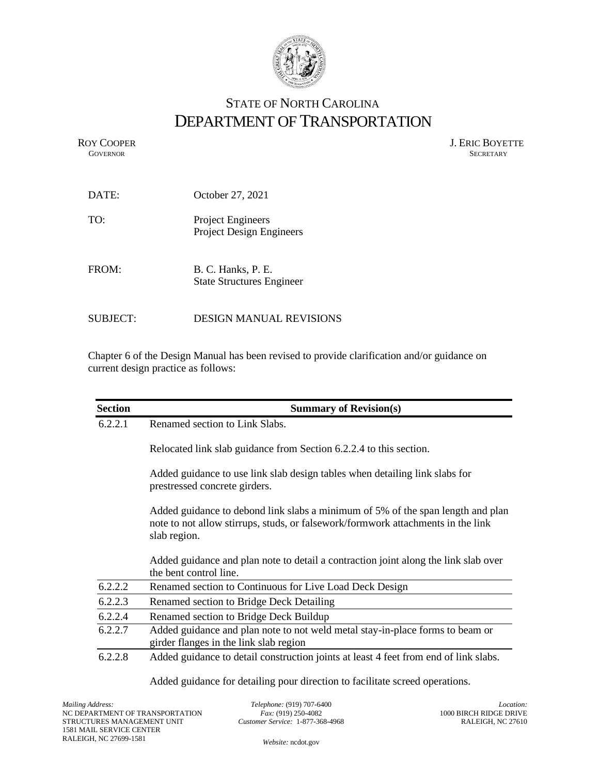

## STATE OF NORTH CAROLINA DEPARTMENT OF TRANSPORTATION

ROY COOPER J. ERIC BOYETTE GOVERNOR SECRETARY **GOVERNOR** SECRETARY

| DATE:           | October 27, 2021                                            |  |
|-----------------|-------------------------------------------------------------|--|
| TO:             | <b>Project Engineers</b><br><b>Project Design Engineers</b> |  |
| FROM:           | B. C. Hanks, P. E.<br><b>State Structures Engineer</b>      |  |
| <b>SUBJECT:</b> | DESIGN MANUAL REVISIONS                                     |  |

Chapter 6 of the Design Manual has been revised to provide clarification and/or guidance on current design practice as follows:

| <b>Section</b> | <b>Summary of Revision(s)</b>                                                                                                                                                       |  |  |
|----------------|-------------------------------------------------------------------------------------------------------------------------------------------------------------------------------------|--|--|
| 6.2.2.1        | Renamed section to Link Slabs.                                                                                                                                                      |  |  |
|                | Relocated link slab guidance from Section 6.2.2.4 to this section.                                                                                                                  |  |  |
|                | Added guidance to use link slab design tables when detailing link slabs for<br>prestressed concrete girders.                                                                        |  |  |
|                | Added guidance to debond link slabs a minimum of 5% of the span length and plan<br>note to not allow stirrups, studs, or falsework/formwork attachments in the link<br>slab region. |  |  |
|                | Added guidance and plan note to detail a contraction joint along the link slab over<br>the bent control line.                                                                       |  |  |
| 6.2.2.2        | Renamed section to Continuous for Live Load Deck Design                                                                                                                             |  |  |
| 6.2.2.3        | Renamed section to Bridge Deck Detailing                                                                                                                                            |  |  |
| 6.2.2.4        | Renamed section to Bridge Deck Buildup                                                                                                                                              |  |  |
| 6.2.2.7        | Added guidance and plan note to not weld metal stay-in-place forms to beam or<br>girder flanges in the link slab region                                                             |  |  |
| 6.2.2.8        | Added guidance to detail construction joints at least 4 feet from end of link slabs.                                                                                                |  |  |

Added guidance for detailing pour direction to facilitate screed operations.